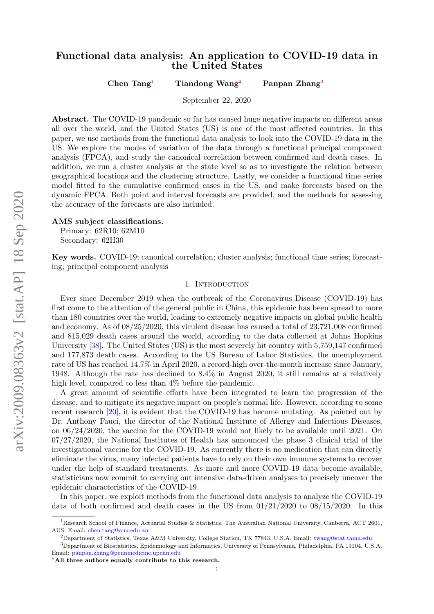# Functional data analysis: An application to COVID-19 data in the United States

Chen Tang<sup>[1](#page-0-0)</sup> Tiandong Wang<sup>[2](#page-0-1)</sup> Panpan Zhang<sup>[3](#page-0-2)</sup>

September 22, 2020

Abstract. The COVID-19 pandemic so far has caused huge negative impacts on different areas all over the world, and the United States (US) is one of the most affected countries. In this paper, we use methods from the functional data analysis to look into the COVID-19 data in the US. We explore the modes of variation of the data through a functional principal component analysis (FPCA), and study the canonical correlation between confirmed and death cases. In addition, we run a cluster analysis at the state level so as to investigate the relation between geographical locations and the clustering structure. Lastly, we consider a functional time series model fitted to the cumulative confirmed cases in the US, and make forecasts based on the dynamic FPCA. Both point and interval forecasts are provided, and the methods for assessing the accuracy of the forecasts are also included.

AMS subject classifications.

Primary: 62R10; 62M10 Secondary: 62H30

Key words. COVID-19; canonical correlation; cluster analysis; functional time series; forecasting; principal component analysis

# 1. INTRODUCTION

Ever since December 2019 when the outbreak of the Coronavirus Disease (COVID-19) has first come to the attention of the general public in China, this epidemic has been spread to more than 180 countries over the world, leading to extremely negative impacts on global public health and economy. As of 08/25/2020, this virulent disease has caused a total of 23,721,008 confirmed and 815,029 death cases around the world, according to the data collected at Johns Hopkins University [\[38\]](#page-19-0). The United States (US) is the most severely hit country with 5,759,147 confirmed and 177,873 death cases. According to the US Bureau of Labor Statistics, the unemployment rate of US has reached 14.7% in April 2020, a record-high over-the-month increase since January, 1948. Although the rate has declined to 8.4% in August 2020, it still remains at a relatively high level, compared to less than  $4\%$  before the pandemic.

A great amount of scientific efforts have been integrated to learn the progression of the disease, and to mitigate its negative impact on people's normal life. However, according to some recent research [\[20\]](#page-18-0), it is evident that the COVID-19 has become mutating. As pointed out by Dr. Anthony Fauci, the director of the National Institute of Allergy and Infectious Diseases, on 06/24/2020, the vaccine for the COVID-19 would not likely to be available until 2021. On 07/27/2020, the National Institutes of Health has announced the phase 3 clinical trial of the investigational vaccine for the COVID-19. As currently there is no medication that can directly eliminate the virus, many infected patients have to rely on their own immune systems to recover under the help of standard treatments. As more and more COVID-19 data become available, statisticians now commit to carrying out intensive data-driven analyses to precisely uncover the epidemic characteristics of the COVID-19.

In this paper, we exploit methods from the functional data analysis to analyze the COVID-19 data of both confirmed and death cases in the US from  $01/21/2020$  to  $08/15/2020$ . In this

<span id="page-0-0"></span><sup>&</sup>lt;sup>1</sup>Research School of Finance, Actuarial Studies & Statistics, The Australian National University, Canberra, ACT 2601, AUS. Email: [chen.tang@anu.edu.au](mailto:chen.tang@anu.edu.au)

<span id="page-0-2"></span><span id="page-0-1"></span><sup>&</sup>lt;sup>2</sup>Department of Statistics, Texas A&M University, College Station, TX 77843, U.S.A. Email: [twang@stat.tamu.edu](mailto:twang@stat.tamu.edu)

<sup>3</sup>Department of Biostatistics, Epidemiology and Informatics, University of Pennsylvania, Philadelphia, PA 19104, U.S.A. Email: [panpan.zhang@pennmedicine.upenn.edu](mailto:panpan.zhang@pennmedicine.upenn.edu)

<sup>∗</sup>All three authors equally contribute to this research.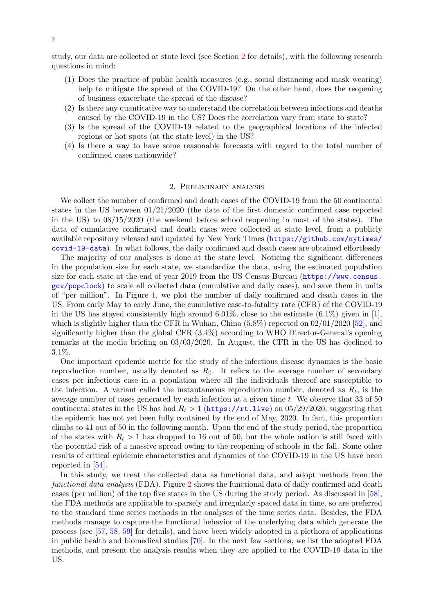study, our data are collected at state level (see Section [2](#page-1-0) for details), with the following research questions in mind:

- (1) Does the practice of public health measures (e.g., social distancing and mask wearing) help to mitigate the spread of the COVID-19? On the other hand, does the reopening of business exacerbate the spread of the disease?
- (2) Is there any quantitative way to understand the correlation between infections and deaths caused by the COVID-19 in the US? Does the correlation vary from state to state?
- (3) Is the spread of the COVID-19 related to the geographical locations of the infected regions or hot spots (at the state level) in the US?
- (4) Is there a way to have some reasonable forecasts with regard to the total number of confirmed cases nationwide?

# 2. Preliminary analysis

<span id="page-1-0"></span>We collect the number of confirmed and death cases of the COVID-19 from the 50 continental states in the US between 01/21/2020 (the date of the first domestic confirmed case reported in the US) to 08/15/2020 (the weekend before school reopening in most of the states). The data of cumulative confirmed and death cases were collected at state level, from a publicly available repository released and updated by New York Times ([https://github.com/nytimes/](https://github.com/nytimes/covid-19-data) [covid-19-data](https://github.com/nytimes/covid-19-data)). In what follows, the daily confirmed and death cases are obtained effortlessly.

The majority of our analyses is done at the state level. Noticing the significant differences in the population size for each state, we standardize the data, using the estimated population size for each state at the end of year 2019 from the US Census Bureau ([https://www.census.](https://www.census.gov/popclock) [gov/popclock](https://www.census.gov/popclock)) to scale all collected data (cumulative and daily cases), and save them in units of "per million". In Figure [1,](#page-2-0) we plot the number of daily confirmed and death cases in the US. From early May to early June, the cumulative case-to-fatality rate (CFR) of the COVID-19 in the US has stayed consistently high around  $6.01\%$ , close to the estimate  $(6.1\%)$  given in [\[1\]](#page-17-0), which is slightly higher than the CFR in Wuhan, China  $(5.8\%)$  reported on  $02/01/2020$  [\[52\]](#page-19-1), and significantly higher than the global CFR (3.4%) according to WHO Director-General's opening remarks at the media briefing on 03/03/2020. In August, the CFR in the US has declined to 3.1%.

One important epidemic metric for the study of the infectious disease dynamics is the basic reproduction number, usually denoted as  $R_0$ . It refers to the average number of secondary cases per infectious case in a population where all the individuals thereof are susceptible to the infection. A variant called the instantaneous reproduction number, denoted as  $R_t$ , is the average number of cases generated by each infection at a given time  $t$ . We observe that 33 of 50 continental states in the US has had  $R_t > 1$  (<https://rt.live>) on 05/29/2020, suggesting that the epidemic has not yet been fully contained by the end of May, 2020. In fact, this proportion climbs to 41 out of 50 in the following month. Upon the end of the study period, the proportion of the states with  $R_t > 1$  has dropped to 16 out of 50, but the whole nation is still faced with the potential risk of a massive spread owing to the reopening of schools in the fall. Some other results of critical epidemic characteristics and dynamics of the COVID-19 in the US have been reported in [\[54\]](#page-19-2).

In this study, we treat the collected data as functional data, and adopt methods from the functional data analysis (FDA). Figure [2](#page-3-0) shows the functional data of daily confirmed and death cases (per million) of the top five states in the US during the study period. As discussed in [\[58\]](#page-19-3), the FDA methods are applicable to sparsely and irregularly spaced data in time, so are preferred to the standard time series methods in the analyses of the time series data. Besides, the FDA methods manage to capture the functional behavior of the underlying data which generate the process (see [\[57,](#page-19-4) [58,](#page-19-3) [59\]](#page-19-5) for details), and have been widely adopted in a plethora of applications in public health and biomedical studies [\[70\]](#page-20-0). In the next few sections, we list the adopted FDA methods, and present the analysis results when they are applied to the COVID-19 data in the US.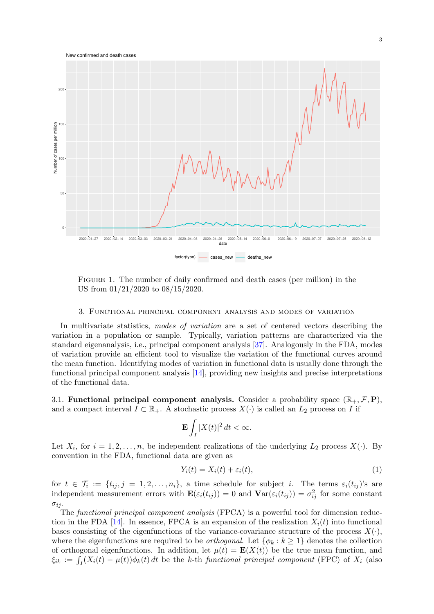

<span id="page-2-0"></span>Figure 1. The number of daily confirmed and death cases (per million) in the US from 01/21/2020 to 08/15/2020.

#### 3. Functional principal component analysis and modes of variation

In multivariate statistics, modes of variation are a set of centered vectors describing the variation in a population or sample. Typically, variation patterns are characterized via the standard eigenanalysis, i.e., principal component analysis [\[37\]](#page-19-6). Analogously in the FDA, modes of variation provide an efficient tool to visualize the variation of the functional curves around the mean function. Identifying modes of variation in functional data is usually done through the functional principal component analysis [\[14\]](#page-18-1), providing new insights and precise interpretations of the functional data.

<span id="page-2-2"></span>3.1. Functional principal component analysis. Consider a probability space  $(\mathbb{R}_+, \mathcal{F}, \mathbf{P})$ , and a compact interval  $I \subset \mathbb{R}_+$ . A stochastic process  $X(\cdot)$  is called an  $L_2$  process on I if

$$
\mathbf{E}\int_I |X(t)|^2\,dt < \infty.
$$

Let  $X_i$ , for  $i = 1, 2, ..., n$ , be independent realizations of the underlying  $L_2$  process  $X(\cdot)$ . By convention in the FDA, functional data are given as

<span id="page-2-1"></span>
$$
Y_i(t) = X_i(t) + \varepsilon_i(t),\tag{1}
$$

for  $t \in \mathcal{T}_i := \{t_{ij}, j = 1, 2, \ldots, n_i\},\$ a time schedule for subject i. The terms  $\varepsilon_i(t_{ij})$ 's are independent measurement errors with  $\mathbf{E}(\varepsilon_i(t_{ij})) = 0$  and  $\mathbf{Var}(\varepsilon_i(t_{ij})) = \sigma_{ij}^2$  for some constant  $\sigma_{ij}$ .

The functional principal component analysis (FPCA) is a powerful tool for dimension reduc-tion in the FDA [\[14\]](#page-18-1). In essence, FPCA is an expansion of the realization  $X_i(t)$  into functional bases consisting of the eigenfunctions of the variance-covariance structure of the process  $X(\cdot)$ , where the eigenfunctions are required to be *orthogonal*. Let  $\{\phi_k : k \geq 1\}$  denotes the collection of orthogonal eigenfunctions. In addition, let  $\mu(t) = \mathbf{E}(X(t))$  be the true mean function, and  $\xi_{ik} := \int_I (X_i(t) - \mu(t)) \phi_k(t) dt$  be the k-th functional principal component (FPC) of  $X_i$  (also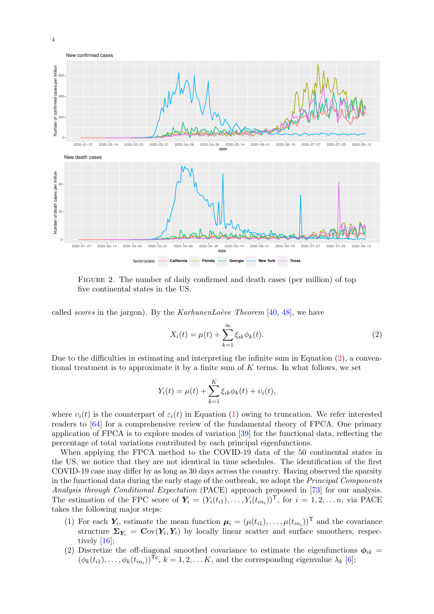

<span id="page-3-0"></span>Figure 2. The number of daily confirmed and death cases (per million) of top five continental states in the US.

called *scores* in the jargon). By the *KarhunenLo*ève Theorem  $[40, 48]$  $[40, 48]$  $[40, 48]$ , we have

<span id="page-3-1"></span>
$$
X_i(t) = \mu(t) + \sum_{k=1}^{\infty} \xi_{ik} \phi_k(t).
$$
 (2)

Due to the difficulties in estimating and interpreting the infinite sum in Equation [\(2\)](#page-3-1), a conventional treatment is to approximate it by a finite sum of  $K$  terms. In what follows, we set

$$
Y_i(t) = \mu(t) + \sum_{k=1}^{K} \xi_{ik} \phi_k(t) + v_i(t),
$$

where  $v_i(t)$  is the counterpart of  $\varepsilon_i(t)$  in Equation [\(1\)](#page-2-1) owing to truncation. We refer interested readers to [\[64\]](#page-20-1) for a comprehensive review of the fundamental theory of FPCA. One primary application of FPCA is to explore modes of variation [\[39\]](#page-19-9) for the functional data, reflecting the percentage of total variations contributed by each principal eigenfunctions.

When applying the FPCA method to the COVID-19 data of the 50 continental states in the US, we notice that they are not identical in time schedules. The identification of the first COVID-19 case may differ by as long as 30 days across the country. Having observed the sparsity in the functional data during the early stage of the outbreak, we adopt the Principal Components Analysis through Conditional Expectation (PACE) approach proposed in [\[73\]](#page-20-2) for our analysis. The estimation of the FPC score of  $\mathbf{Y}_i = (Y_i(t_{i1}), \dots, Y_i(t_{in_i}))^{\mathsf{T}}$ , for  $i = 1, 2, \dots n$ , via PACE takes the following major steps:

- (1) For each  $Y_i$ , estimate the mean function  $\mu_i = (\mu(t_{i1}), \dots, \mu(t_{in_i}))^T$  and the covariance structure  $\Sigma_{Y_i} = \text{Cov}(Y_i, Y_i)$  by locally linear scatter and surface smoothers, respectively [\[16\]](#page-18-2);
- (2) Discretize the off-diagonal smoothed covariance to estimate the eigenfunctions  $\phi_{ik}$  =  $(\phi_k(t_{i1}), \ldots, \phi_k(t_{in_i}))^{\mathsf{To}}, k = 1, 2, \ldots K$ , and the corresponding eigenvalue  $\lambda_k$  [\[6\]](#page-17-1);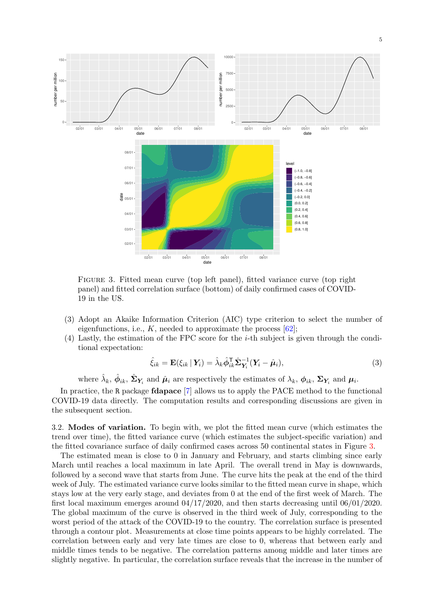

<span id="page-4-0"></span>Figure 3. Fitted mean curve (top left panel), fitted variance curve (top right panel) and fitted correlation surface (bottom) of daily confirmed cases of COVID-19 in the US.

- (3) Adopt an Akaike Information Criterion (AIC) type criterion to select the number of eigenfunctions, i.e.,  $K$ , needed to approximate the process  $[62]$ ;
- (4) Lastly, the estimation of the FPC score for the i-th subject is given through the conditional expectation:

<span id="page-4-1"></span>
$$
\hat{\xi}_{ik} = \mathbf{E}(\xi_{ik} | \mathbf{Y}_i) = \hat{\lambda}_k \hat{\phi}_{ik}^{\mathsf{T}} \hat{\mathbf{\Sigma}}_{\mathbf{Y}_i}^{-1} (\mathbf{Y}_i - \hat{\boldsymbol{\mu}}_i),
$$
\n(3)

where  $\hat{\lambda}_k$ ,  $\hat{\phi}_{ik}$ ,  $\hat{\Sigma}_{Y_i}$  and  $\hat{\mu}_i$  are respectively the estimates of  $\lambda_k$ ,  $\phi_{ik}$ ,  $\Sigma_{Y_i}$  and  $\mu_i$ .

In practice, the R package fdapace [\[7\]](#page-17-2) allows us to apply the PACE method to the functional COVID-19 data directly. The computation results and corresponding discussions are given in the subsequent section.

3.2. Modes of variation. To begin with, we plot the fitted mean curve (which estimates the trend over time), the fitted variance curve (which estimates the subject-specific variation) and the fitted covariance surface of daily confirmed cases across 50 continental states in Figure [3.](#page-4-0)

The estimated mean is close to 0 in January and February, and starts climbing since early March until reaches a local maximum in late April. The overall trend in May is downwards, followed by a second wave that starts from June. The curve hits the peak at the end of the third week of July. The estimated variance curve looks similar to the fitted mean curve in shape, which stays low at the very early stage, and deviates from 0 at the end of the first week of March. The first local maximum emerges around  $04/17/2020$ , and then starts decreasing until  $06/01/2020$ . The global maximum of the curve is observed in the third week of July, corresponding to the worst period of the attack of the COVID-19 to the country. The correlation surface is presented through a contour plot. Measurements at close time points appears to be highly correlated. The correlation between early and very late times are close to 0, whereas that between early and middle times tends to be negative. The correlation patterns among middle and later times are slightly negative. In particular, the correlation surface reveals that the increase in the number of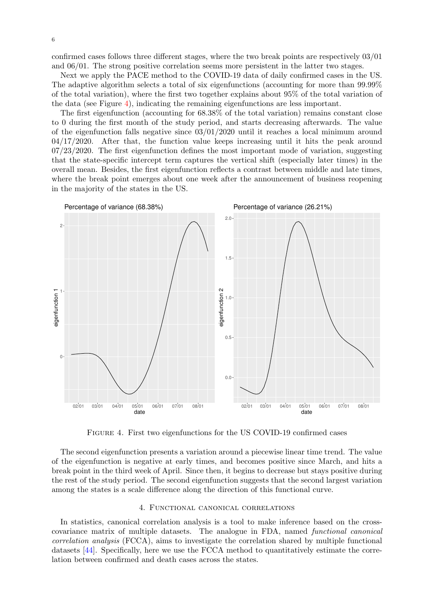confirmed cases follows three different stages, where the two break points are respectively 03/01 and 06/01. The strong positive correlation seems more persistent in the latter two stages.

Next we apply the PACE method to the COVID-19 data of daily confirmed cases in the US. The adaptive algorithm selects a total of six eigenfunctions (accounting for more than 99.99% of the total variation), where the first two together explains about 95% of the total variation of the data (see Figure [4\)](#page-5-0), indicating the remaining eigenfunctions are less important.

The first eigenfunction (accounting for 68.38% of the total variation) remains constant close to 0 during the first month of the study period, and starts decreasing afterwards. The value of the eigenfunction falls negative since  $03/01/2020$  until it reaches a local minimum around  $04/17/2020$ . After that, the function value keeps increasing until it hits the peak around 07/23/2020. The first eigenfunction defines the most important mode of variation, suggesting that the state-specific intercept term captures the vertical shift (especially later times) in the overall mean. Besides, the first eigenfunction reflects a contrast between middle and late times, where the break point emerges about one week after the announcement of business reopening in the majority of the states in the US.



<span id="page-5-0"></span>Figure 4. First two eigenfunctions for the US COVID-19 confirmed cases

The second eigenfunction presents a variation around a piecewise linear time trend. The value of the eigenfunction is negative at early times, and becomes positive since March, and hits a break point in the third week of April. Since then, it begins to decrease but stays positive during the rest of the study period. The second eigenfunction suggests that the second largest variation among the states is a scale difference along the direction of this functional curve.

# 4. Functional canonical correlations

In statistics, canonical correlation analysis is a tool to make inference based on the crosscovariance matrix of multiple datasets. The analogue in FDA, named functional canonical correlation analysis (FCCA), aims to investigate the correlation shared by multiple functional datasets [\[44\]](#page-19-10). Specifically, here we use the FCCA method to quantitatively estimate the correlation between confirmed and death cases across the states.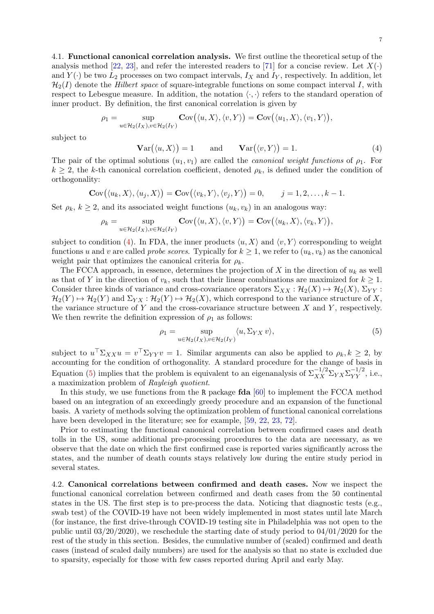4.1. Functional canonical correlation analysis. We first outline the theoretical setup of the analysis method [\[22,](#page-18-3) [23\]](#page-18-4), and refer the interested readers to [\[71\]](#page-20-4) for a concise review. Let  $X(\cdot)$ and  $Y(\cdot)$  be two  $L_2$  processes on two compact intervals,  $I_X$  and  $I_Y$ , respectively. In addition, let  $\mathcal{H}_2(I)$  denote the *Hilbert space* of square-integrable functions on some compact interval I, with respect to Lebesgue measure. In addition, the notation  $\langle \cdot, \cdot \rangle$  refers to the standard operation of inner product. By definition, the first canonical correlation is given by

$$
\rho_1 = \sup_{u \in \mathcal{H}_2(I_X), v \in \mathcal{H}_2(I_Y)} \mathbf{Cov}(\langle u, X \rangle, \langle v, Y \rangle) = \mathbf{Cov}(\langle u_1, X \rangle, \langle v_1, Y \rangle),
$$

subject to

<span id="page-6-0"></span>
$$
\mathbf{Var}(\langle u, X \rangle) = 1 \quad \text{and} \quad \mathbf{Var}(\langle v, Y \rangle) = 1. \tag{4}
$$

The pair of the optimal solutions  $(u_1, v_1)$  are called the *canonical weight functions* of  $\rho_1$ . For  $k \geq 2$ , the k-th canonical correlation coefficient, denoted  $\rho_k$ , is defined under the condition of orthogonality:

$$
\mathbf{C}\text{ov}(\langle u_k, X \rangle, \langle u_j, X \rangle) = \mathbf{C}\text{ov}(\langle v_k, Y \rangle, \langle v_j, Y \rangle) = 0, \quad j = 1, 2, \dots, k-1.
$$

Set  $\rho_k$ ,  $k \geq 2$ , and its associated weight functions  $(u_k, v_k)$  in an analogous way:

$$
\rho_k = \sup_{u \in \mathcal{H}_2(I_X), v \in \mathcal{H}_2(I_Y)} \mathbf{Cov}(\langle u, X \rangle, \langle v, Y \rangle) = \mathbf{Cov}(\langle u_k, X \rangle, \langle v_k, Y \rangle),
$$

subject to condition [\(4\)](#page-6-0). In FDA, the inner products  $\langle u, X \rangle$  and  $\langle v, Y \rangle$  corresponding to weight functions u and v are called *probe scores*. Typically for  $k \geq 1$ , we refer to  $(u_k, v_k)$  as the canonical weight pair that optimizes the canonical criteria for  $\rho_k$ .

The FCCA approach, in essence, determines the projection of  $X$  in the direction of  $u_k$  as well as that of Y in the direction of  $v_k$ , such that their linear combinations are maximized for  $k \geq 1$ . Consider three kinds of variance and cross-covariance operators  $\Sigma_{XX} : \mathcal{H}_2(X) \mapsto \mathcal{H}_2(X)$ ,  $\Sigma_{YY}$ :  $\mathcal{H}_2(Y) \mapsto \mathcal{H}_2(Y)$  and  $\Sigma_{YX} : \mathcal{H}_2(Y) \mapsto \mathcal{H}_2(X)$ , which correspond to the variance structure of X, the variance structure of Y and the cross-covariance structure between  $X$  and  $Y$ , respectively. We then rewrite the definition expression of  $\rho_1$  as follows:

<span id="page-6-1"></span>
$$
\rho_1 = \sup_{u \in \mathcal{H}_2(I_X), v \in \mathcal{H}_2(I_Y)} \langle u, \Sigma_{YX} v \rangle,
$$
\n(5)

subject to  $u^{\top} \Sigma_{XX} u = v^{\top} \Sigma_{YY} v = 1$ . Similar arguments can also be applied to  $\rho_k, k \geq 2$ , by accounting for the condition of orthogonality. A standard procedure for the change of basis in Equation [\(5\)](#page-6-1) implies that the problem is equivalent to an eigenanalysis of  $\Sigma_{XX}^{-1/2}\Sigma_{YX}\Sigma_{YY}^{-1/2}$ , i.e., a maximization problem of Rayleigh quotient.

In this study, we use functions from the R package fda [\[60\]](#page-20-5) to implement the FCCA method based on an integration of an exceedingly greedy procedure and an expansion of the functional basis. A variety of methods solving the optimization problem of functional canonical correlations have been developed in the literature; see for example, [\[59,](#page-19-5) [22,](#page-18-3) [23,](#page-18-4) [72\]](#page-20-6).

Prior to estimating the functional canonical correlation between confirmed cases and death tolls in the US, some additional pre-processing procedures to the data are necessary, as we observe that the date on which the first confirmed case is reported varies significantly across the states, and the number of death counts stays relatively low during the entire study period in several states.

4.2. Canonical correlations between confirmed and death cases. Now we inspect the functional canonical correlation between confirmed and death cases from the 50 continental states in the US. The first step is to pre-process the data. Noticing that diagnostic tests (e.g., swab test) of the COVID-19 have not been widely implemented in most states until late March (for instance, the first drive-through COVID-19 testing site in Philadelphia was not open to the public until  $03/20/2020$ , we reschedule the starting date of study period to  $04/01/2020$  for the rest of the study in this section. Besides, the cumulative number of (scaled) confirmed and death cases (instead of scaled daily numbers) are used for the analysis so that no state is excluded due to sparsity, especially for those with few cases reported during April and early May.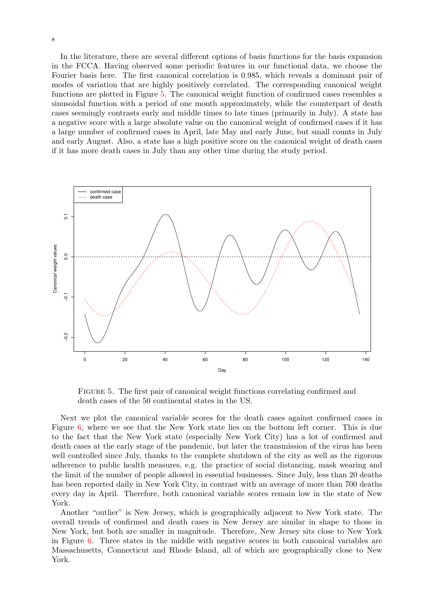In the literature, there are several different options of basis functions for the basis expansion in the FCCA. Having observed some periodic features in our functional data, we choose the Fourier basis here. The first canonical correlation is 0.985, which reveals a dominant pair of modes of variation that are highly positively correlated. The corresponding canonical weight functions are plotted in Figure [5.](#page-7-0) The canonical weight function of confirmed cases resembles a sinusoidal function with a period of one month approximately, while the counterpart of death cases seemingly contrasts early and middle times to late times (primarily in July). A state has a negative score with a large absolute value on the canonical weight of confirmed cases if it has a large number of confirmed cases in April, late May and early June, but small counts in July and early August. Also, a state has a high positive score on the canonical weight of death cases if it has more death cases in July than any other time during the study period.



<span id="page-7-0"></span>Figure 5. The first pair of canonical weight functions correlating confirmed and death cases of the 50 continental states in the US.

Next we plot the canonical variable scores for the death cases against confirmed cases in Figure [6,](#page-8-0) where we see that the New York state lies on the bottom left corner. This is due to the fact that the New York state (especially New York City) has a lot of confirmed and death cases at the early stage of the pandemic, but later the transmission of the virus has been well controlled since July, thanks to the complete shutdown of the city as well as the rigorous adherence to public health measures, e.g. the practice of social distancing, mask wearing and the limit of the number of people allowed in essential businesses. Since July, less than 20 deaths has been reported daily in New York City, in contrast with an average of more than 700 deaths every day in April. Therefore, both canonical variable scores remain low in the state of New York.

Another "outlier" is New Jersey, which is geographically adjacent to New York state. The overall trends of confirmed and death cases in New Jersey are similar in shape to those in New York, but both are smaller in magnitude. Therefore, New Jersey sits close to New York in Figure [6.](#page-8-0) Three states in the middle with negative scores in both canonical variables are Massachusetts, Connecticut and Rhode Island, all of which are geographically close to New York.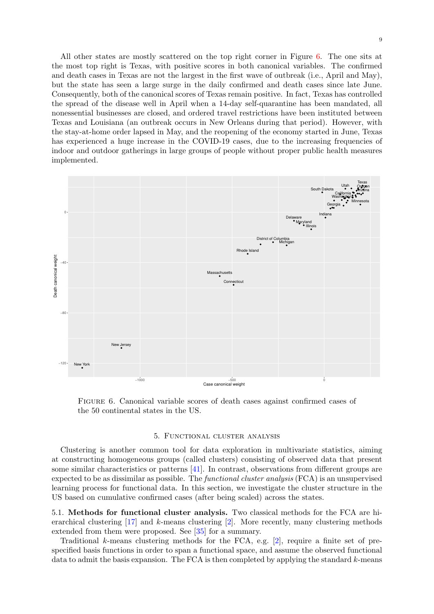All other states are mostly scattered on the top right corner in Figure [6.](#page-8-0) The one sits at the most top right is Texas, with positive scores in both canonical variables. The confirmed and death cases in Texas are not the largest in the first wave of outbreak (i.e., April and May), but the state has seen a large surge in the daily confirmed and death cases since late June. Consequently, both of the canonical scores of Texas remain positive. In fact, Texas has controlled the spread of the disease well in April when a 14-day self-quarantine has been mandated, all nonessential businesses are closed, and ordered travel restrictions have been instituted between Texas and Louisiana (an outbreak occurs in New Orleans during that period). However, with the stay-at-home order lapsed in May, and the reopening of the economy started in June, Texas has experienced a huge increase in the COVID-19 cases, due to the increasing frequencies of indoor and outdoor gatherings in large groups of people without proper public health measures implemented.



<span id="page-8-0"></span>Figure 6. Canonical variable scores of death cases against confirmed cases of the 50 continental states in the US.

# 5. Functional cluster analysis

Clustering is another common tool for data exploration in multivariate statistics, aiming at constructing homogeneous groups (called clusters) consisting of observed data that present some similar characteristics or patterns [\[41\]](#page-19-11). In contrast, observations from different groups are expected to be as dissimilar as possible. The functional cluster analysis (FCA) is an unsupervised learning process for functional data. In this section, we investigate the cluster structure in the US based on cumulative confirmed cases (after being scaled) across the states.

5.1. Methods for functional cluster analysis. Two classical methods for the FCA are hierarchical clustering  $[17]$  and k-means clustering  $[2]$ . More recently, many clustering methods extended from them were proposed. See [\[35\]](#page-19-12) for a summary.

Traditional k-means clustering methods for the FCA, e.g. [\[2\]](#page-17-3), require a finite set of prespecified basis functions in order to span a functional space, and assume the observed functional data to admit the basis expansion. The FCA is then completed by applying the standard  $k$ -means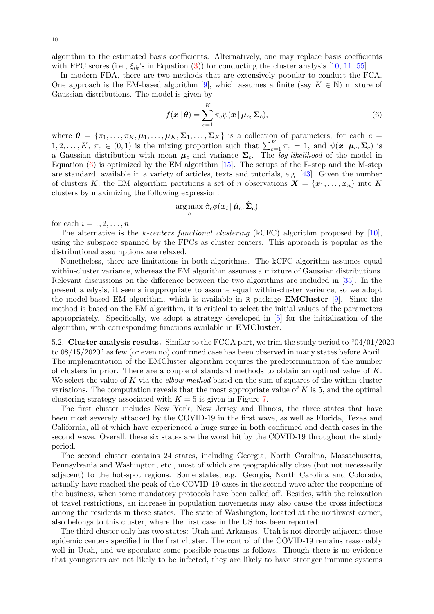algorithm to the estimated basis coefficients. Alternatively, one may replace basis coefficients with FPC scores (i.e.,  $\xi_{ik}$ 's in Equation [\(3\)](#page-4-1)) for conducting the cluster analysis [\[10,](#page-17-4) [11,](#page-18-6) [55\]](#page-19-13).

In modern FDA, there are two methods that are extensively popular to conduct the FCA. One approach is the EM-based algorithm [\[9\]](#page-17-5), which assumes a finite (say  $K \in \mathbb{N}$ ) mixture of Gaussian distributions. The model is given by

<span id="page-9-0"></span>
$$
f(\boldsymbol{x} | \boldsymbol{\theta}) = \sum_{c=1}^{K} \pi_c \psi(\boldsymbol{x} | \boldsymbol{\mu}_c, \boldsymbol{\Sigma}_c),
$$
\n(6)

where  $\boldsymbol{\theta} = {\pi_1, \dots, \pi_K, \mu_1, \dots, \mu_K, \Sigma_1, \dots, \Sigma_K}$  is a collection of parameters; for each  $c =$  $1, 2, \ldots, K, \pi_c \in (0, 1)$  is the mixing proportion such that  $\sum_{c=1}^{K} \pi_c = 1$ , and  $\psi(\mathbf{x} | \boldsymbol{\mu}_c, \boldsymbol{\Sigma}_c)$  is a Gaussian distribution with mean  $\mu_c$  and variance  $\Sigma_c$ . The log-likelihood of the model in Equation  $(6)$  is optimized by the EM algorithm [\[15\]](#page-18-7). The setups of the E-step and the M-step are standard, available in a variety of articles, texts and tutorials, e.g. [\[43\]](#page-19-14). Given the number of clusters K, the EM algorithm partitions a set of n observations  $X = \{x_1, \ldots, x_n\}$  into K clusters by maximizing the following expression:

$$
\argmax_c \hat\pi_c \phi(\boldsymbol{x}_i \,|\, \hat{\boldsymbol{\mu}}_c, \hat{\boldsymbol{\Sigma}}_c)
$$

for each  $i = 1, 2, \ldots, n$ .

The alternative is the k-centers functional clustering (kCFC) algorithm proposed by [\[10\]](#page-17-4), using the subspace spanned by the FPCs as cluster centers. This approach is popular as the distributional assumptions are relaxed.

Nonetheless, there are limitations in both algorithms. The kCFC algorithm assumes equal within-cluster variance, whereas the EM algorithm assumes a mixture of Gaussian distributions. Relevant discussions on the difference between the two algorithms are included in [\[35\]](#page-19-12). In the present analysis, it seems inappropriate to assume equal within-cluster variance, so we adopt the model-based EM algorithm, which is available in R package EMCluster [\[9\]](#page-17-5). Since the method is based on the EM algorithm, it is critical to select the initial values of the parameters appropriately. Specifically, we adopt a strategy developed in [\[5\]](#page-17-6) for the initialization of the algorithm, with corresponding functions available in EMCluster.

5.2. Cluster analysis results. Similar to the FCCA part, we trim the study period to "04/01/2020 to 08/15/2020" as few (or even no) confirmed case has been observed in many states before April. The implementation of the EMCluster algorithm requires the predetermination of the number of clusters in prior. There are a couple of standard methods to obtain an optimal value of  $K$ . We select the value of K via the *elbow method* based on the sum of squares of the within-cluster variations. The computation reveals that the most appropriate value of  $K$  is 5, and the optimal clustering strategy associated with  $K = 5$  is given in Figure [7.](#page-10-0)

The first cluster includes New York, New Jersey and Illinois, the three states that have been most severely attacked by the COVID-19 in the first wave, as well as Florida, Texas and California, all of which have experienced a huge surge in both confirmed and death cases in the second wave. Overall, these six states are the worst hit by the COVID-19 throughout the study period.

The second cluster contains 24 states, including Georgia, North Carolina, Massachusetts, Pennsylvania and Washington, etc., most of which are geographically close (but not necessarily adjacent) to the hot-spot regions. Some states, e.g. Georgia, North Carolina and Colorado, actually have reached the peak of the COVID-19 cases in the second wave after the reopening of the business, when some mandatory protocols have been called off. Besides, with the relaxation of travel restrictions, an increase in population movements may also cause the cross infections among the residents in these states. The state of Washington, located at the northwest corner, also belongs to this cluster, where the first case in the US has been reported.

The third cluster only has two states: Utah and Arkansas. Utah is not directly adjacent those epidemic centers specified in the first cluster. The control of the COVID-19 remains reasonably well in Utah, and we speculate some possible reasons as follows. Though there is no evidence that youngsters are not likely to be infected, they are likely to have stronger immune systems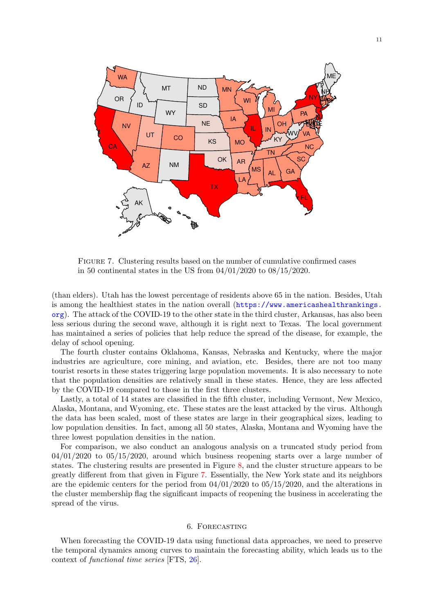

<span id="page-10-0"></span>Figure 7. Clustering results based on the number of cumulative confirmed cases in 50 continental states in the US from 04/01/2020 to 08/15/2020.

(than elders). Utah has the lowest percentage of residents above 65 in the nation. Besides, Utah is among the healthiest states in the nation overall ([https://www.americashealthrankings.](https://www.americashealthrankings.org) [org](https://www.americashealthrankings.org)). The attack of the COVID-19 to the other state in the third cluster, Arkansas, has also been less serious during the second wave, although it is right next to Texas. The local government has maintained a series of policies that help reduce the spread of the disease, for example, the delay of school opening.

The fourth cluster contains Oklahoma, Kansas, Nebraska and Kentucky, where the major industries are agriculture, core mining, and aviation, etc. Besides, there are not too many tourist resorts in these states triggering large population movements. It is also necessary to note that the population densities are relatively small in these states. Hence, they are less affected by the COVID-19 compared to those in the first three clusters.

Lastly, a total of 14 states are classified in the fifth cluster, including Vermont, New Mexico, Alaska, Montana, and Wyoming, etc. These states are the least attacked by the virus. Although the data has been scaled, most of these states are large in their geographical sizes, leading to low population densities. In fact, among all 50 states, Alaska, Montana and Wyoming have the three lowest population densities in the nation.

For comparison, we also conduct an analogous analysis on a truncated study period from  $04/01/2020$  to  $05/15/2020$ , around which business reopening starts over a large number of states. The clustering results are presented in Figure [8,](#page-11-0) and the cluster structure appears to be greatly different from that given in Figure [7.](#page-10-0) Essentially, the New York state and its neighbors are the epidemic centers for the period from  $04/01/2020$  to  $05/15/2020$ , and the alterations in the cluster membership flag the significant impacts of reopening the business in accelerating the spread of the virus.

# 6. Forecasting

When forecasting the COVID-19 data using functional data approaches, we need to preserve the temporal dynamics among curves to maintain the forecasting ability, which leads us to the context of functional time series [FTS, [26\]](#page-18-8).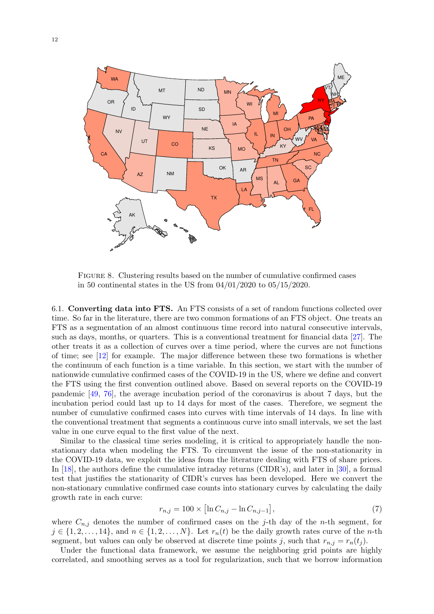

<span id="page-11-0"></span>Figure 8. Clustering results based on the number of cumulative confirmed cases in 50 continental states in the US from 04/01/2020 to 05/15/2020.

<span id="page-11-1"></span>6.1. Converting data into FTS. An FTS consists of a set of random functions collected over time. So far in the literature, there are two common formations of an FTS object. One treats an FTS as a segmentation of an almost continuous time record into natural consecutive intervals, such as days, months, or quarters. This is a conventional treatment for financial data [\[27\]](#page-18-9). The other treats it as a collection of curves over a time period, where the curves are not functions of time; see [\[12\]](#page-18-10) for example. The major difference between these two formations is whether the continuum of each function is a time variable. In this section, we start with the number of nationwide cumulative confirmed cases of the COVID-19 in the US, where we define and convert the FTS using the first convention outlined above. Based on several reports on the COVID-19 pandemic [\[49,](#page-19-15) [76\]](#page-20-7), the average incubation period of the coronavirus is about 7 days, but the incubation period could last up to 14 days for most of the cases. Therefore, we segment the number of cumulative confirmed cases into curves with time intervals of 14 days. In line with the conventional treatment that segments a continuous curve into small intervals, we set the last value in one curve equal to the first value of the next.

Similar to the classical time series modeling, it is critical to appropriately handle the nonstationary data when modeling the FTS. To circumvent the issue of the non-stationarity in the COVID-19 data, we exploit the ideas from the literature dealing with FTS of share prices. In [\[18\]](#page-18-11), the authors define the cumulative intraday returns (CIDR's), and later in [\[30\]](#page-18-12), a formal test that justifies the stationarity of CIDR's curves has been developed. Here we convert the non-stationary cumulative confirmed case counts into stationary curves by calculating the daily growth rate in each curve:

$$
r_{n,j} = 100 \times \left[ \ln C_{n,j} - \ln C_{n,j-1} \right],\tag{7}
$$

where  $C_{n,j}$  denotes the number of confirmed cases on the j-th day of the n-th segment, for  $j \in \{1, 2, \ldots, 14\}$ , and  $n \in \{1, 2, \ldots, N\}$ . Let  $r_n(t)$  be the daily growth rates curve of the *n*-th segment, but values can only be observed at discrete time points j, such that  $r_{n,j} = r_n(t_j)$ .

Under the functional data framework, we assume the neighboring grid points are highly correlated, and smoothing serves as a tool for regularization, such that we borrow information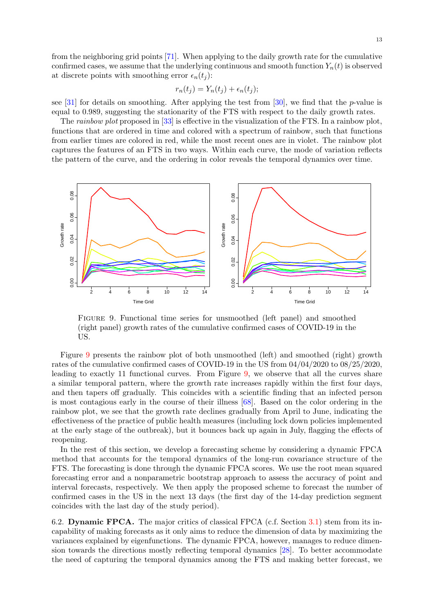from the neighboring grid points [\[71\]](#page-20-4). When applying to the daily growth rate for the cumulative confirmed cases, we assume that the underlying continuous and smooth function  $Y_n(t)$  is observed at discrete points with smoothing error  $\epsilon_n(t_i)$ :

$$
r_n(t_j) = Y_n(t_j) + \epsilon_n(t_j);
$$

see [\[31\]](#page-18-13) for details on smoothing. After applying the test from [\[30\]](#page-18-12), we find that the p-value is equal to 0.989, suggesting the stationarity of the FTS with respect to the daily growth rates.

The rainbow plot proposed in [\[33\]](#page-18-14) is effective in the visualization of the FTS. In a rainbow plot, functions that are ordered in time and colored with a spectrum of rainbow, such that functions from earlier times are colored in red, while the most recent ones are in violet. The rainbow plot captures the features of an FTS in two ways. Within each curve, the mode of variation reflects the pattern of the curve, and the ordering in color reveals the temporal dynamics over time.



<span id="page-12-0"></span>Figure 9. Functional time series for unsmoothed (left panel) and smoothed (right panel) growth rates of the cumulative confirmed cases of COVID-19 in the US.

Figure [9](#page-12-0) presents the rainbow plot of both unsmoothed (left) and smoothed (right) growth rates of the cumulative confirmed cases of COVID-19 in the US from 04/04/2020 to 08/25/2020, leading to exactly 11 functional curves. From Figure [9,](#page-12-0) we observe that all the curves share a similar temporal pattern, where the growth rate increases rapidly within the first four days, and then tapers off gradually. This coincides with a scientific finding that an infected person is most contagious early in the course of their illness [\[68\]](#page-20-8). Based on the color ordering in the rainbow plot, we see that the growth rate declines gradually from April to June, indicating the effectiveness of the practice of public health measures (including lock down policies implemented at the early stage of the outbreak), but it bounces back up again in July, flagging the effects of reopening.

In the rest of this section, we develop a forecasting scheme by considering a dynamic FPCA method that accounts for the temporal dynamics of the long-run covariance structure of the FTS. The forecasting is done through the dynamic FPCA scores. We use the root mean squared forecasting error and a nonparametric bootstrap approach to assess the accuracy of point and interval forecasts, respectively. We then apply the proposed scheme to forecast the number of confirmed cases in the US in the next 13 days (the first day of the 14-day prediction segment coincides with the last day of the study period).

6.2. Dynamic FPCA. The major critics of classical FPCA (c.f. Section [3.1\)](#page-2-2) stem from its incapability of making forecasts as it only aims to reduce the dimension of data by maximizing the variances explained by eigenfunctions. The dynamic FPCA, however, manages to reduce dimension towards the directions mostly reflecting temporal dynamics [\[28\]](#page-18-15). To better accommodate the need of capturing the temporal dynamics among the FTS and making better forecast, we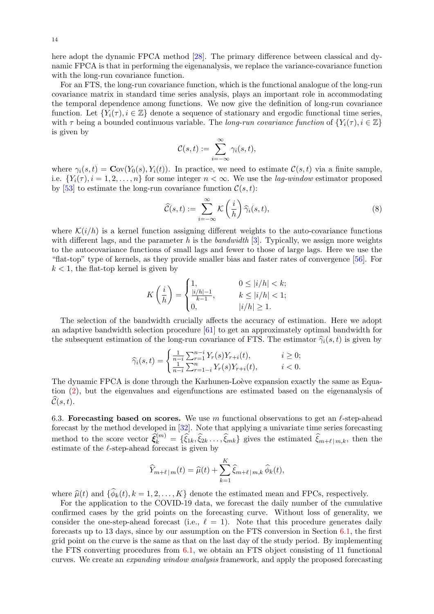here adopt the dynamic FPCA method [\[28\]](#page-18-15). The primary difference between classical and dynamic FPCA is that in performing the eigenanalysis, we replace the variance-covariance function with the long-run covariance function.

For an FTS, the long-run covariance function, which is the functional analogue of the long-run covariance matrix in standard time series analysis, plays an important role in accommodating the temporal dependence among functions. We now give the definition of long-run covariance function. Let  ${Y_i(\tau), i \in \mathbb{Z}}$  denote a sequence of stationary and ergodic functional time series, with  $\tau$  being a bounded continuous variable. The long-run covariance function of  $\{Y_i(\tau), i \in \mathbb{Z}\}\$ is given by

$$
\mathcal{C}(s,t):=\sum_{i=-\infty}^{\infty}\gamma_i(s,t),
$$

where  $\gamma_i(s,t) = \mathbf{C}\text{ov}(Y_0(s), Y_i(t))$ . In practice, we need to estimate  $\mathcal{C}(s,t)$  via a finite sample, i.e.  $\{Y_i(\tau), i = 1, 2, \ldots, n\}$  for some integer  $n < \infty$ . We use the *lag-window* estimator proposed by [\[53\]](#page-19-16) to estimate the long-run covariance function  $\mathcal{C}(s,t)$ :

$$
\widehat{\mathcal{C}}(s,t) := \sum_{i=-\infty}^{\infty} \mathcal{K}\left(\frac{i}{h}\right) \widehat{\gamma}_i(s,t),\tag{8}
$$

where  $\mathcal{K}(i/h)$  is a kernel function assigning different weights to the auto-covariance functions with different lags, and the parameter h is the bandwidth [\[3\]](#page-17-7). Typically, we assign more weights to the autocovariance functions of small lags and fewer to those of large lags. Here we use the "flat-top" type of kernels, as they provide smaller bias and faster rates of convergence [\[56\]](#page-19-17). For  $k < 1$ , the flat-top kernel is given by

$$
K\left(\frac{i}{h}\right) = \begin{cases} 1, & 0 \le |i/h| < k; \\ \frac{|i/h| - 1}{k - 1}, & k \le |i/h| < 1; \\ 0, & |i/h| \ge 1. \end{cases}
$$

The selection of the bandwidth crucially affects the accuracy of estimation. Here we adopt an adaptive bandwidth selection procedure [\[61\]](#page-20-9) to get an approximately optimal bandwidth for the subsequent estimation of the long-run covariance of FTS. The estimator  $\hat{\gamma}_i(s, t)$  is given by

$$
\widehat{\gamma}_i(s,t) = \begin{cases} \frac{1}{n-i} \sum_{r=1}^{n-i} Y_r(s) Y_{r+i}(t), & i \ge 0; \\ \frac{1}{n-i} \sum_{r=1-i}^n Y_r(s) Y_{r+i}(t), & i < 0. \end{cases}
$$

The dynamic FPCA is done through the Karhunen-Loève expansion exactly the same as Equation [\(2\)](#page-3-1), but the eigenvalues and eigenfunctions are estimated based on the eigenanalysis of  $\widehat{\mathcal{C}}(s, t)$ .

6.3. Forecasting based on scores. We use m functional observations to get an  $\ell$ -step-ahead forecast by the method developed in [\[32\]](#page-18-16). Note that applying a univariate time series forecasting method to the score vector  $\hat{\xi}_k^{(m)} = {\hat{\xi}_{1k}, \hat{\xi}_{2k} \dots, \hat{\xi}_{mk}}$  gives the estimated  $\hat{\xi}_{m+\ell|m,k}$ , then the estimate of the  $\ell$ -step-ahead forecast is given by

$$
\widehat{Y}_{m+\ell|m}(t) = \widehat{\mu}(t) + \sum_{k=1}^{K} \widehat{\xi}_{m+\ell|m,k} \,\widehat{\phi}_k(t),
$$

where  $\hat{\mu}(t)$  and  $\{\phi_k(t), k = 1, 2, ..., K\}$  denote the estimated mean and FPCs, respectively.<br>For the epollication to the COVID 19 data, we forecast the daily number of the cumula

For the application to the COVID-19 data, we forecast the daily number of the cumulative confirmed cases by the grid points on the forecasting curve. Without loss of generality, we consider the one-step-ahead forecast (i.e.,  $\ell = 1$ ). Note that this procedure generates daily forecasts up to 13 days, since by our assumption on the FTS conversion in Section [6.1,](#page-11-1) the first grid point on the curve is the same as that on the last day of the study period. By implementing the FTS converting procedures from  $6.1$ , we obtain an FTS object consisting of 11 functional curves. We create an expanding window analysis framework, and apply the proposed forecasting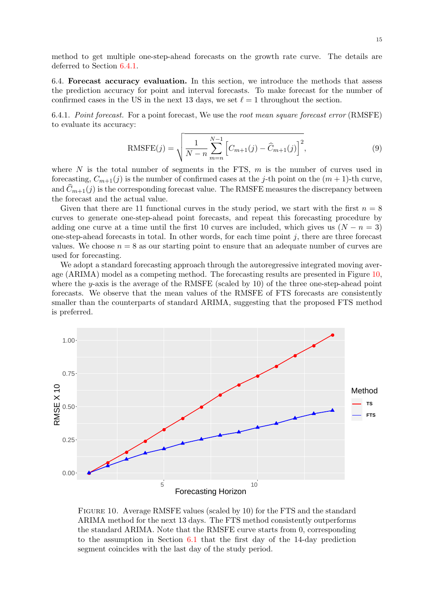method to get multiple one-step-ahead forecasts on the growth rate curve. The details are deferred to Section [6.4.1.](#page-14-0)

6.4. Forecast accuracy evaluation. In this section, we introduce the methods that assess the prediction accuracy for point and interval forecasts. To make forecast for the number of confirmed cases in the US in the next 13 days, we set  $\ell = 1$  throughout the section.

<span id="page-14-0"></span>6.4.1. Point forecast. For a point forecast, We use the root mean square forecast error (RMSFE) to evaluate its accuracy:

RMSFE
$$
(j)
$$
 =  $\sqrt{\frac{1}{N-n} \sum_{m=n}^{N-1} \left[ C_{m+1}(j) - \widehat{C}_{m+1}(j) \right]^2}$ , (9)

where  $N$  is the total number of segments in the FTS,  $m$  is the number of curves used in forecasting,  $C_{m+1}(j)$  is the number of confirmed cases at the j-th point on the  $(m + 1)$ -th curve, and  $\widehat{C}_{m+1}(j)$  is the corresponding forecast value. The RMSFE measures the discrepancy between the forecast and the actual value.

Given that there are 11 functional curves in the study period, we start with the first  $n = 8$ curves to generate one-step-ahead point forecasts, and repeat this forecasting procedure by adding one curve at a time until the first 10 curves are included, which gives us  $(N - n = 3)$ one-step-ahead forecasts in total. In other words, for each time point  $j$ , there are three forecast values. We choose  $n = 8$  as our starting point to ensure that an adequate number of curves are used for forecasting.

We adopt a standard forecasting approach through the autoregressive integrated moving average (ARIMA) model as a competing method. The forecasting results are presented in Figure [10,](#page-14-1) where the y-axis is the average of the RMSFE (scaled by 10) of the three one-step-ahead point forecasts. We observe that the mean values of the RMSFE of FTS forecasts are consistently smaller than the counterparts of standard ARIMA, suggesting that the proposed FTS method is preferred.



<span id="page-14-1"></span>Figure 10. Average RMSFE values (scaled by 10) for the FTS and the standard ARIMA method for the next 13 days. The FTS method consistently outperforms the standard ARIMA. Note that the RMSFE curve starts from 0, corresponding to the assumption in Section [6.1](#page-11-1) that the first day of the 14-day prediction segment coincides with the last day of the study period.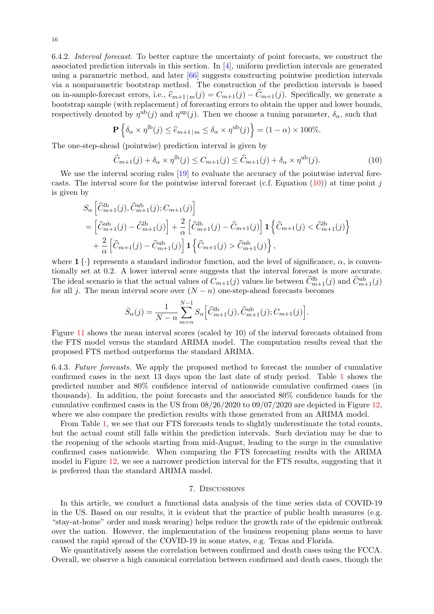6.4.2. Interval forecast. To better capture the uncertainty of point forecasts, we construct the associated prediction intervals in this section. In [\[4\]](#page-17-8), uniform prediction intervals are generated using a parametric method, and later [\[66\]](#page-20-10) suggests constructing pointwise prediction intervals via a nonparametric bootstrap method. The construction of the prediction intervals is based on in-sample-forecast errors, i.e.,  $\hat{e}_{m+1 | m}(j) = C_{m+1}(j) - \hat{C}_{m+1}(j)$ . Specifically, we generate a bootstrap sample (with replacement) of forecasting errors to obtain the upper and lower bounds, respectively denoted by  $\eta^{\text{ub}}(j)$  and  $\eta^{\text{up}}(j)$ . Then we choose a tuning parameter,  $\delta_{\alpha}$ , such that

$$
\mathbf{P}\left\{\delta_{\alpha} \times \eta^{\text{lb}}(j) \le \widehat{e}_{m+1|m} \le \delta_{\alpha} \times \eta^{\text{ub}}(j)\right\} = (1-\alpha) \times 100\%.
$$

The one-step-ahead (pointwise) prediction interval is given by

<span id="page-15-0"></span>
$$
\widehat{C}_{m+1}(j) + \delta_{\alpha} \times \eta^{\text{lb}}(j) \le C_{m+1}(j) \le \widehat{C}_{m+1}(j) + \delta_{\alpha} \times \eta^{\text{ub}}(j). \tag{10}
$$

We use the interval scoring rules [\[19\]](#page-18-17) to evaluate the accuracy of the pointwise interval forecasts. The interval score for the pointwise interval forecast (c.f. Equation  $(10)$ ) at time point j is given by

$$
S_{\alpha} \left[ \hat{C}_{m+1}^{\text{lb}}(j), \hat{C}_{m+1}^{\text{ub}}(j); C_{m+1}(j) \right]
$$
  
=  $\left[ \hat{C}_{m+1}^{\text{ub}}(j) - \hat{C}_{m+1}^{\text{lb}}(j) \right] + \frac{2}{\alpha} \left[ \hat{C}_{m+1}^{\text{lb}}(j) - \hat{C}_{m+1}(j) \right] \mathbf{1} \left\{ \hat{C}_{m+1}(j) < \hat{C}_{m+1}^{\text{lb}}(j) \right\} + \frac{2}{\alpha} \left[ \hat{C}_{m+1}(j) - \hat{C}_{m+1}^{\text{ub}}(j) \right] \mathbf{1} \left\{ \hat{C}_{m+1}(j) > \hat{C}_{m+1}^{\text{ub}}(j) \right\},$ 

where  $1 \{\cdot\}$  represents a standard indicator function, and the level of significance,  $\alpha$ , is conventionally set at 0.2. A lower interval score suggests that the interval forecast is more accurate. The ideal scenario is that the actual values of  $C_{m+1}(j)$  values lie between  $\widehat{C}_{m+1}^{\text{lb}}(j)$  and  $\widehat{C}_{m+1}^{\text{ub}}(j)$ for all j. The mean interval score over  $(N - n)$  one-step-ahead forecasts becomes

$$
\bar{S}_{\alpha}(j) = \frac{1}{N-n} \sum_{m=n}^{N-1} S_{\alpha} \Big[ \widehat{C}_{m+1}^{\text{lb}}(j), \widehat{C}_{m+1}^{\text{ub}}(j); C_{m+1}(j) \Big].
$$

Figure [11](#page-16-0) shows the mean interval scores (scaled by 10) of the interval forecasts obtained from the FTS model versus the standard ARIMA model. The computation results reveal that the proposed FTS method outperforms the standard ARIMA.

6.4.3. Future forecasts. We apply the proposed method to forecast the number of cumulative confirmed cases in the next 13 days upon the last date of study period. Table [1](#page-16-1) shows the predicted number and 80% confidence interval of nationwide cumulative confirmed cases (in thousands). In addition, the point forecasts and the associated 80% confidence bands for the cumulative confirmed cases in the US from  $08/26/2020$  to  $09/07/2020$  are depicted in Figure [12,](#page-17-9) where we also compare the prediction results with those generated from an ARIMA model.

From Table [1,](#page-16-1) we see that our FTS forecasts tends to slightly underestimate the total counts, but the actual count still falls within the prediction intervals. Such deviation may be due to the reopening of the schools starting from mid-August, leading to the surge in the cumulative confirmed cases nationwide. When comparing the FTS forecasting results with the ARIMA model in Figure [12,](#page-17-9) we see a narrower prediction interval for the FTS results, suggesting that it is preferred than the standard ARIMA model.

### 7. Discussions

In this article, we conduct a functional data analysis of the time series data of COVID-19 in the US. Based on our results, it is evident that the practice of public health measures (e.g. "stay-at-home" order and mask wearing) helps reduce the growth rate of the epidemic outbreak over the nation. However, the implementation of the business reopening plans seems to have caused the rapid spread of the COVID-19 in some states, e.g. Texas and Florida.

We quantitatively assess the correlation between confirmed and death cases using the FCCA. Overall, we observe a high canonical correlation between confirmed and death cases, though the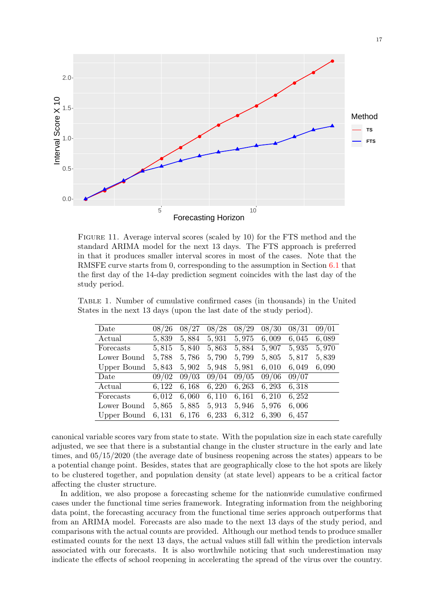

<span id="page-16-0"></span>Figure 11. Average interval scores (scaled by 10) for the FTS method and the standard ARIMA model for the next 13 days. The FTS approach is preferred in that it produces smaller interval scores in most of the cases. Note that the RMSFE curve starts from 0, corresponding to the assumption in Section [6.1](#page-11-1) that the first day of the 14-day prediction segment coincides with the last day of the study period.

Table 1. Number of cumulative confirmed cases (in thousands) in the United States in the next 13 days (upon the last date of the study period).

<span id="page-16-1"></span>

| Date        | 08/26  | 08/27 | 08/28  | 08/29 | 08/30 | 08/31 | 09/01 |
|-------------|--------|-------|--------|-------|-------|-------|-------|
| Actual      | 5,839  | 5,884 | 5,931  | 5,975 | 6,009 | 6,045 | 6,089 |
| Forecasts   | 5,815  | 5,840 | 5,863  | 5,884 | 5,907 | 5,935 | 5,970 |
| Lower Bound | 5,788  | 5,786 | 5,790  | 5,799 | 5,805 | 5,817 | 5,839 |
| Upper Bound | 5,843  | 5,902 | 5,948  | 5,981 | 6,010 | 6,049 | 6,090 |
| Date        | 09/02  | 09/03 | 09/04  | 09/05 | 09/06 | 09/07 |       |
| Actual      | 6.122  | 6,168 | 6,220  | 6,263 | 6,293 | 6,318 |       |
| Forecasts   | 6,012  | 6,060 | 6,110  | 6,161 | 6,210 | 6,252 |       |
| Lower Bound | 5,865  | 5,885 | 5,913  | 5,946 | 5,976 | 6,006 |       |
| Upper Bound | 6, 131 | 6,176 | 6, 233 | 6,312 | 6,390 | 6,457 |       |

canonical variable scores vary from state to state. With the population size in each state carefully adjusted, we see that there is a substantial change in the cluster structure in the early and late times, and 05/15/2020 (the average date of business reopening across the states) appears to be a potential change point. Besides, states that are geographically close to the hot spots are likely to be clustered together, and population density (at state level) appears to be a critical factor affecting the cluster structure.

In addition, we also propose a forecasting scheme for the nationwide cumulative confirmed cases under the functional time series framework. Integrating information from the neighboring data point, the forecasting accuracy from the functional time series approach outperforms that from an ARIMA model. Forecasts are also made to the next 13 days of the study period, and comparisons with the actual counts are provided. Although our method tends to produce smaller estimated counts for the next 13 days, the actual values still fall within the prediction intervals associated with our forecasts. It is also worthwhile noticing that such underestimation may indicate the effects of school reopening in accelerating the spread of the virus over the country.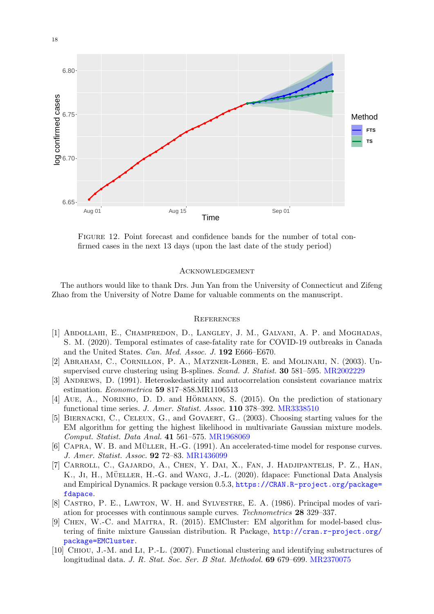

<span id="page-17-9"></span>Figure 12. Point forecast and confidence bands for the number of total confirmed cases in the next 13 days (upon the last date of the study period)

# Acknowledgement

The authors would like to thank Drs. Jun Yan from the University of Connecticut and Zifeng Zhao from the University of Notre Dame for valuable comments on the manuscript.

### **REFERENCES**

- <span id="page-17-0"></span>[1] Abdollahi, E., Champredon, D., Langley, J. M., Galvani, A. P. and Moghadas, S. M. (2020). Temporal estimates of case-fatality rate for COVID-19 outbreaks in Canada and the United States. Can. Med. Assoc. J. 192 E666–E670.
- <span id="page-17-3"></span>[2] Abraham, C., Cornillon, P. A., Matzner-Løber, E. and Molinari, N. (2003). Unsupervised curve clustering using B-splines. Scand. J. Statist. 30 581–595. [MR2002229](http://www.ams.org/mathscinet-getitem?mr=2002229)
- <span id="page-17-7"></span>[3] ANDREWS, D. (1991). Heteroskedasticity and autocorrelation consistent covariance matrix estimation. Econometrica 59 817–858.MR1106513
- <span id="page-17-8"></span>[4] AUE, A., NORINHO, D. D. and HÖRMANN, S.  $(2015)$ . On the prediction of stationary functional time series. J. Amer. Statist. Assoc. 110 378–392. [MR3338510](http://www.ams.org/mathscinet-getitem?mr=3338510)
- <span id="page-17-6"></span>[5] BIERNACKI, C., CELEUX, G., and GOVAERT, G.. (2003). Choosing starting values for the EM algorithm for getting the highest likelihood in multivariate Gaussian mixture models. Comput. Statist. Data Anal. 41 561–575. [MR1968069](http://www.ams.org/mathscinet-getitem?mr=1968069)
- <span id="page-17-1"></span> $[6]$  CAPRA, W. B. and MÜLLER, H.-G.  $(1991)$ . An accelerated-time model for response curves. J. Amer. Statist. Assoc. 92 72–83. [MR1436099](http://www.ams.org/mathscinet-getitem?mr=1436099)
- <span id="page-17-2"></span>[7] Carroll, C., Gajardo, A., Chen, Y. Dai, X., Fan, J. Hadjipantelis, P. Z., Han, K., JI, H., MÜELLER, H.-G. and WANG, J.-L. (2020). fdapace: Functional Data Analysis and Empirical Dynamics. R package version 0.5.3, [https://CRAN.R-project.org/package=](https://CRAN.R-project.org/package=fdapace) [fdapace](https://CRAN.R-project.org/package=fdapace).
- [8] Castro, P. E., Lawton, W. H. and Sylvestre, E. A. (1986). Principal modes of variation for processes with continuous sample curves. Technometrics 28 329–337.
- <span id="page-17-5"></span>[9] Chen, W.-C. and Maitra, R. (2015). EMCluster: EM algorithm for model-based clustering of finite mixture Gaussian distribution. R Package, [http://cran.r-project.org/](http://cran.r-project.org/package=EMCluster) [package=EMCluster](http://cran.r-project.org/package=EMCluster).
- <span id="page-17-4"></span>[10] Chiou, J.-M. and Li, P.-L. (2007). Functional clustering and identifying substructures of longitudinal data. J. R. Stat. Soc. Ser. B Stat. Methodol. 69 679–699. [MR2370075](http://www.ams.org/mathscinet-getitem?mr=2370075)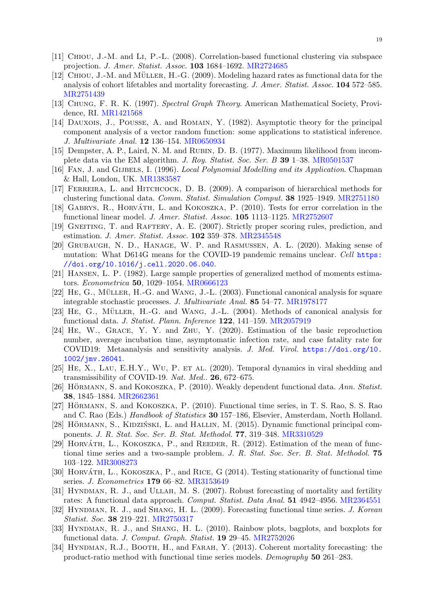- <span id="page-18-6"></span>[11] Chiou, J.-M. and Li, P.-L. (2008). Correlation-based functional clustering via subspace projection. J. Amer. Statist. Assoc. 103 1684–1692. [MR2724685](http://www.ams.org/mathscinet-getitem?mr=2724685)
- <span id="page-18-10"></span>[12] CHIOU, J.-M. and MÜLLER, H.-G.  $(2009)$ . Modeling hazard rates as functional data for the analysis of cohort lifetables and mortality forecasting. J. Amer. Statist. Assoc. 104 572–585. [MR2751439](http://www.ams.org/mathscinet-getitem?mr=2751439)
- [13] Chung, F. R. K. (1997). Spectral Graph Theory. American Mathematical Society, Providence, RI. [MR1421568](http://www.ams.org/mathscinet-getitem?mr=1421568)
- <span id="page-18-1"></span>[14] DAUXOIS, J., POUSSE, A. and ROMAIN, Y. (1982). Asymptotic theory for the principal component analysis of a vector random function: some applications to statistical inference. J. Multivariate Anal. 12 136–154. [MR0650934](http://www.ams.org/mathscinet-getitem?mr=0650934)
- <span id="page-18-7"></span>[15] Dempster, A. P., Laird, N. M. and Rubin, D. B. (1977). Maximum likelihood from incomplete data via the EM algorithm. J. Roy. Statist. Soc. Ser. B 39 1–38. [MR0501537](http://www.ams.org/mathscinet-getitem?mr=0501537)
- <span id="page-18-2"></span>[16] FAN, J. and GIJBELS, I. (1996). Local Polynomial Modelling and its Application. Chapman & Hall, London, UK. [MR1383587](http://www.ams.org/mathscinet-getitem?mr=1383587)
- <span id="page-18-5"></span>[17] Ferreira, L. and Hitchcock, D. B. (2009). A comparison of hierarchical methods for clustering functional data. Comm. Statist. Simulation Comput. 38 1925–1949. [MR2751180](http://www.ams.org/mathscinet-getitem?mr=2751180)
- <span id="page-18-11"></span>[18] GABRYS, R., HORVÁTH, L. and KOKOSZKA, P. (2010). Tests for error correlation in the functional linear model. J. Amer. Statist. Assoc. 105 1113–1125. [MR2752607](http://www.ams.org/mathscinet-getitem?mr=2752607)
- <span id="page-18-17"></span>[19] GNEITING, T. and RAFTERY, A. E. (2007). Strictly proper scoring rules, prediction, and estimation. J. Amer. Statist. Assoc. 102 359–378. [MR2345548](http://www.ams.org/mathscinet-getitem?mr=2345548)
- <span id="page-18-0"></span>[20] Grubaugh, N. D., Hanage, W. P. and Rasmussen, A. L. (2020). Making sense of mutation: What D614G means for the COVID-19 pandemic remains unclear. Cell [https:](https://doi.org/10.1016/j.cell.2020.06.040) [//doi.org/10.1016/j.cell.2020.06.040](https://doi.org/10.1016/j.cell.2020.06.040).
- [21] Hansen, L. P. (1982). Large sample properties of generalized method of moments estimators. Econometrica 50, 1029–1054. [MR0666123](http://www.ams.org/mathscinet-getitem?mr=0666123)
- <span id="page-18-3"></span>[22] HE, G., MÜLLER, H.-G. and WANG, J.-L. (2003). Functional canonical analysis for square integrable stochastic processes. J. Multivariate Anal. 85 54–77. [MR1978177](http://www.ams.org/mathscinet-getitem?mr=1978177)
- <span id="page-18-4"></span> $[23]$  HE, G., MÜLLER, H.-G. and WANG, J.-L.  $(2004)$ . Methods of canonical analysis for functional data. J. Statist. Plann. Inference 122, 141–159. [MR2057919](http://www.ams.org/mathscinet-getitem?mr=2057919)
- [24] He, W., Grace, Y. Y. and Zhu, Y. (2020). Estimation of the basic reproduction number, average incubation time, asymptomatic infection rate, and case fatality rate for COVID19: Metaanalysis and sensitivity analysis. J. Med. Virol. [https://doi.org/10.](https://doi.org/10.1002/jmv.26041) [1002/jmv.26041](https://doi.org/10.1002/jmv.26041).
- [25] He, X., Lau, E.H.Y., Wu, P. et al. (2020). Temporal dynamics in viral shedding and transmissibility of COVID-19. Nat. Med.. 26, 672–675.
- <span id="page-18-8"></span>[26] HÖRMANN, S. and KOKOSZKA, P. (2010). Weakly dependent functional data. Ann. Statist. 38, 1845–1884. [MR2662361](http://www.ams.org/mathscinet-getitem?mr=2662361)
- <span id="page-18-9"></span>[27] HÖRMANN, S. and KOKOSZKA, P.  $(2010)$ . Functional time series, in T. S. Rao, S. S. Rao and C. Rao (Eds.) Handbook of Statistics 30 157–186, Elsevier, Amsterdam, North Holland.
- <span id="page-18-15"></span>[28] HÖRMANN, S., KIDZIŃSKI, L. and HALLIN, M. (2015). Dynamic functional principal components. J. R. Stat. Soc. Ser. B. Stat. Methodol. 77, 319–348. [MR3310529](http://www.ams.org/mathscinet-getitem?mr=3310529)
- [29] HORVATH, L., KOKOSZKA, P., and REEDER, R. (2012). Estimation of the mean of functional time series and a two-sample problem. J. R. Stat. Soc. Ser. B. Stat. Methodol. 75 103–122. [MR3008273](http://www.ams.org/mathscinet-getitem?mr=3008273)
- <span id="page-18-12"></span>[30] HORVÁTH, L., KOKOSZKA, P., and RICE, G  $(2014)$ . Testing stationarity of functional time series. J. Econometrics 179 66–82. [MR3153649](http://www.ams.org/mathscinet-getitem?mr=3153649)
- <span id="page-18-13"></span>[31] HYNDMAN, R. J., and ULLAH, M. S. (2007). Robust forecasting of mortality and fertility rates: A functional data approach. Comput. Statist. Data Anal. 51 4942–4956. [MR2364551](http://www.ams.org/mathscinet-getitem?mr=2364551)
- <span id="page-18-16"></span>[32] HYNDMAN, R. J., and SHANG, H. L. (2009). Forecasting functional time series. J. Korean Statist. Soc. 38 219–221. [MR2750317](http://www.ams.org/mathscinet-getitem?mr=2750317)
- <span id="page-18-14"></span>[33] HYNDMAN, R. J., and SHANG, H. L. (2010). Rainbow plots, bagplots, and boxplots for functional data. J. Comput. Graph. Statist. 19 29–45. [MR2752026](http://www.ams.org/mathscinet-getitem?mr=2752026)
- [34] HYNDMAN, R.J., BOOTH, H., and FARAH, Y. (2013). Coherent mortality forecasting: the product-ratio method with functional time series models. Demography 50 261–283.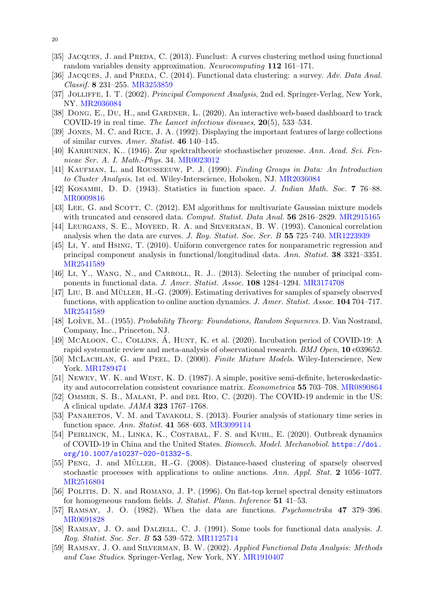- <span id="page-19-12"></span>[35] JACQUES, J. and PREDA, C. (2013). Funclust: A curves clustering method using functional random variables density approximation. Neurocomputing 112 161–171.
- [36] JACQUES, J. and PREDA, C. (2014). Functional data clustering: a survey. Adv. Data Anal. Classif. 8 231–255. [MR3253859](http://www.ams.org/mathscinet-getitem?mr=3253859)
- <span id="page-19-6"></span>[37] JOLLIFFE, I. T. (2002). Principal Component Analysis, 2nd ed. Springer-Verlag, New York, NY. [MR2036084](http://www.ams.org/mathscinet-getitem?mr=2036084)
- <span id="page-19-0"></span>[38] DONG, E., DU, H., and GARDNER, L. (2020). An interactive web-based dashboard to track COVID-19 in real time. The Lancet infectious diseases, 20(5), 533–534.
- <span id="page-19-9"></span>[39] Jones, M. C. and Rice, J. A. (1992). Displaying the important features of large collections of similar curves. Amer. Statist. 46 140–145.
- <span id="page-19-7"></span>[40] Karhunen, K.. (1946). Zur spektraltheorie stochastischer prozesse. Ann. Acad. Sci. Fennicae Ser. A. I. Math.-Phys. 34. [MR0023012](http://www.ams.org/mathscinet-getitem?mr=0023012)
- <span id="page-19-11"></span>[41] KAUFMAN, L. and ROUSSEEUW, P. J. (1990). Finding Groups in Data: An Introduction to Cluster Analysis, 1st ed. Wiley-Interscience, Hoboken, NJ. [MR2036084](http://www.ams.org/mathscinet-getitem?mr=2036084)
- [42] Kosambi, D. D. (1943). Statistics in function space. J. Indian Math. Soc. 7 76–88. [MR0009816](http://www.ams.org/mathscinet-getitem?mr=0009816)
- <span id="page-19-14"></span>[43] LEE, G. and SCOTT, C. (2012). EM algorithms for multivariate Gaussian mixture models with truncated and censored data. Comput. Statist. Data Anal. **56** 2816–2829. [MR2915165](http://www.ams.org/mathscinet-getitem?mr=2915165)
- <span id="page-19-10"></span>[44] LEURGANS, S. E., MOYEED, R. A. and SILVERMAN, B. W. (1993). Canonical correlation analysis when the data are curves. J. Roy. Statist. Soc. Ser. B 55 725–740. [MR1223939](http://www.ams.org/mathscinet-getitem?mr=1223939)
- [45] Li, Y. and Hsing, T. (2010). Uniform convergence rates for nonparametric regression and principal component analysis in functional/longitudinal data. Ann. Statist. 38 3321–3351. [MR2541589](http://www.ams.org/mathscinet-getitem?mr=2541589)
- [46] Li, Y., WANG, N., and CARROLL, R. J.. (2013). Selecting the number of principal components in functional data. J. Amer. Statist. Assoc. 108 1284–1294. [MR3174708](http://www.ams.org/mathscinet-getitem?mr=3174708)
- [47] LIU, B. and MÜLLER, H.-G. (2009). Estimating derivatives for samples of sparsely observed functions, with application to online auction dynamics. J. Amer. Statist. Assoc. **104** 704–717. [MR2541589](http://www.ams.org/mathscinet-getitem?mr=2541589)
- <span id="page-19-8"></span>[48] LOÈVE, M.. (1955). Probability Theory: Foundations, Random Sequences. D. Van Nostrand, Company, Inc., Princeton, NJ.
- <span id="page-19-15"></span>[49] McALOON, C., COLLINS,  $\dot{A}$ , HUNT, K. et al. (2020). Incubation period of COVID-19: A rapid systematic review and meta-analysis of observational research. BMJ Open, 10 e039652.
- [50] McLachlan, G. and Peel, D. (2000). Finite Mixture Models. Wiley-Interscience, New York. [MR1789474](http://www.ams.org/mathscinet-getitem?mr=1789474)
- [51] NEWEY, W. K. and WEST, K. D. (1987). A simple, positive semi-definite, heteroskedasticity and autocorrelation consistent covariance matrix. Econometrica 55 703–708. [MR0890864](http://www.ams.org/mathscinet-getitem?mr=0890864)
- <span id="page-19-1"></span>[52] OMMER, S. B., MALANI, P. and DEL RIO, C. (2020). The COVID-19 andemic in the US: A clinical update. JAMA 323 1767–1768.
- <span id="page-19-16"></span>[53] PANARETOS, V. M. and TAVAKOLI, S. (2013). Fourier analysis of stationary time series in function space. Ann. Statist. 41 568–603. [MR3099114](http://www.ams.org/mathscinet-getitem?mr=3099114)
- <span id="page-19-2"></span>[54] PEIRLINCK, M., LINKA, K., COSTABAL, F. S. and KUHL, E. (2020). Outbreak dynamics of COVID-19 in China and the United States. Biomech. Model. Mechanobiol. [https://doi.](https://doi.org/10.1007/s10237-020-01332-5) [org/10.1007/s10237-020-01332-5](https://doi.org/10.1007/s10237-020-01332-5).
- <span id="page-19-13"></span>[55] PENG, J. and MÜLLER, H.-G. (2008). Distance-based clustering of sparsely observed stochastic processes with applications to online auctions. Ann. Appl. Stat. 2 1056–1077. [MR2516804](http://www.ams.org/mathscinet-getitem?mr=2516804)
- <span id="page-19-17"></span>[56] Politis, D. N. and Romano, J. P. (1996). On flat-top kernel spectral density estimators for homogeneous random fields. J. Statist. Plann. Inference 51 41–53.
- <span id="page-19-4"></span>[57] Ramsay, J. O. (1982). When the data are functions. Psychometrika 47 379–396. [MR0691828](http://www.ams.org/mathscinet-getitem?mr=0691828)
- <span id="page-19-3"></span>[58] RAMSAY, J. O. and DALZELL, C. J. (1991). Some tools for functional data analysis. J. Roy. Statist. Soc. Ser. B 53 539–572. [MR1125714](http://www.ams.org/mathscinet-getitem?mr=1125714)
- <span id="page-19-5"></span>[59] Ramsay, J. O. and Silverman, B. W. (2002). Applied Functional Data Analysis: Methods and Case Studies. Springer-Verlag, New York, NY. [MR1910407](http://www.ams.org/mathscinet-getitem?mr=1910407)